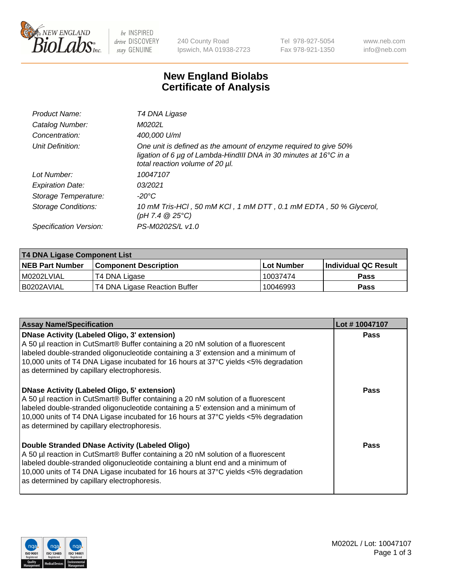

be INSPIRED drive DISCOVERY stay GENUINE

240 County Road Ipswich, MA 01938-2723 Tel 978-927-5054 Fax 978-921-1350 www.neb.com info@neb.com

## **New England Biolabs Certificate of Analysis**

| Product Name:              | T4 DNA Ligase                                                                                                                                                            |
|----------------------------|--------------------------------------------------------------------------------------------------------------------------------------------------------------------------|
| Catalog Number:            | M0202L                                                                                                                                                                   |
| Concentration:             | 400,000 U/ml                                                                                                                                                             |
| Unit Definition:           | One unit is defined as the amount of enzyme required to give 50%<br>ligation of 6 µg of Lambda-HindIII DNA in 30 minutes at 16°C in a<br>total reaction volume of 20 µl. |
| Lot Number:                | 10047107                                                                                                                                                                 |
| <b>Expiration Date:</b>    | 03/2021                                                                                                                                                                  |
| Storage Temperature:       | -20°C                                                                                                                                                                    |
| <b>Storage Conditions:</b> | 10 mM Tris-HCl, 50 mM KCl, 1 mM DTT, 0.1 mM EDTA, 50 % Glycerol,<br>(pH 7.4 $@25°C$ )                                                                                    |
| Specification Version:     | PS-M0202S/L v1.0                                                                                                                                                         |

| T4 DNA Ligase Component List |                               |                   |                      |  |  |
|------------------------------|-------------------------------|-------------------|----------------------|--|--|
| <b>NEB Part Number</b>       | <b>Component Description</b>  | <b>Lot Number</b> | Individual QC Result |  |  |
| I M0202LVIAL                 | T4 DNA Ligase                 | 10037474          | <b>Pass</b>          |  |  |
| I B0202AVIAL                 | T4 DNA Ligase Reaction Buffer | 10046993          | <b>Pass</b>          |  |  |

| <b>Assay Name/Specification</b>                                                                                                                                                                                                                                                                                                                                      | Lot #10047107 |
|----------------------------------------------------------------------------------------------------------------------------------------------------------------------------------------------------------------------------------------------------------------------------------------------------------------------------------------------------------------------|---------------|
| <b>DNase Activity (Labeled Oligo, 3' extension)</b><br>A 50 µl reaction in CutSmart® Buffer containing a 20 nM solution of a fluorescent<br>labeled double-stranded oligonucleotide containing a 3' extension and a minimum of<br>10,000 units of T4 DNA Ligase incubated for 16 hours at 37°C yields <5% degradation<br>as determined by capillary electrophoresis. | <b>Pass</b>   |
| <b>DNase Activity (Labeled Oligo, 5' extension)</b><br>A 50 µl reaction in CutSmart® Buffer containing a 20 nM solution of a fluorescent<br>labeled double-stranded oligonucleotide containing a 5' extension and a minimum of<br>10,000 units of T4 DNA Ligase incubated for 16 hours at 37°C yields <5% degradation<br>as determined by capillary electrophoresis. | Pass          |
| Double Stranded DNase Activity (Labeled Oligo)<br>A 50 µl reaction in CutSmart® Buffer containing a 20 nM solution of a fluorescent<br>labeled double-stranded oligonucleotide containing a blunt end and a minimum of<br>10,000 units of T4 DNA Ligase incubated for 16 hours at 37°C yields <5% degradation<br>as determined by capillary electrophoresis.         | Pass          |

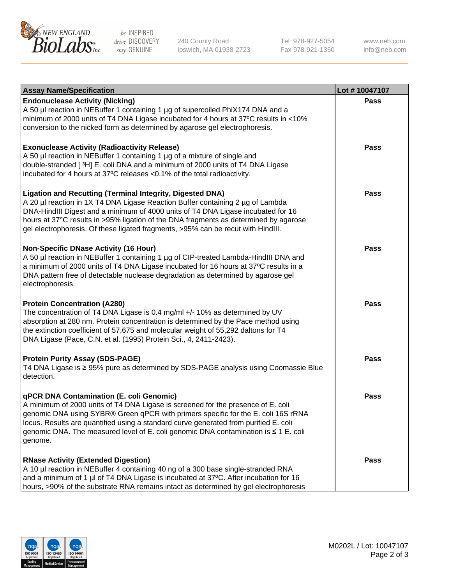

be INSPIRED drive DISCOVERY stay GENUINE

240 County Road Ipswich, MA 01938-2723 Tel 978-927-5054 Fax 978-921-1350

www.neb.com info@neb.com

| <b>Assay Name/Specification</b>                                                                                                                                                                                                                                                                                                                                                                                    | Lot #10047107 |
|--------------------------------------------------------------------------------------------------------------------------------------------------------------------------------------------------------------------------------------------------------------------------------------------------------------------------------------------------------------------------------------------------------------------|---------------|
| <b>Endonuclease Activity (Nicking)</b><br>A 50 µl reaction in NEBuffer 1 containing 1 µg of supercoiled PhiX174 DNA and a<br>minimum of 2000 units of T4 DNA Ligase incubated for 4 hours at 37°C results in <10%<br>conversion to the nicked form as determined by agarose gel electrophoresis.                                                                                                                   | <b>Pass</b>   |
| <b>Exonuclease Activity (Radioactivity Release)</b><br>A 50 µl reaction in NEBuffer 1 containing 1 µg of a mixture of single and<br>double-stranded [3H] E. coli DNA and a minimum of 2000 units of T4 DNA Ligase<br>incubated for 4 hours at 37°C releases <0.1% of the total radioactivity.                                                                                                                      | <b>Pass</b>   |
| <b>Ligation and Recutting (Terminal Integrity, Digested DNA)</b><br>A 20 µl reaction in 1X T4 DNA Ligase Reaction Buffer containing 2 µg of Lambda<br>DNA-HindIII Digest and a minimum of 4000 units of T4 DNA Ligase incubated for 16<br>hours at 37°C results in >95% ligation of the DNA fragments as determined by agarose<br>gel electrophoresis. Of these ligated fragments, >95% can be recut with HindIII. | <b>Pass</b>   |
| <b>Non-Specific DNase Activity (16 Hour)</b><br>A 50 µl reaction in NEBuffer 1 containing 1 µg of CIP-treated Lambda-HindIII DNA and<br>a minimum of 2000 units of T4 DNA Ligase incubated for 16 hours at 37°C results in a<br>DNA pattern free of detectable nuclease degradation as determined by agarose gel<br>electrophoresis.                                                                               | <b>Pass</b>   |
| <b>Protein Concentration (A280)</b><br>The concentration of T4 DNA Ligase is 0.4 mg/ml +/- 10% as determined by UV<br>absorption at 280 nm. Protein concentration is determined by the Pace method using<br>the extinction coefficient of 57,675 and molecular weight of 55,292 daltons for T4<br>DNA Ligase (Pace, C.N. et al. (1995) Protein Sci., 4, 2411-2423).                                                | <b>Pass</b>   |
| <b>Protein Purity Assay (SDS-PAGE)</b><br>T4 DNA Ligase is ≥ 95% pure as determined by SDS-PAGE analysis using Coomassie Blue<br>detection.                                                                                                                                                                                                                                                                        | <b>Pass</b>   |
| qPCR DNA Contamination (E. coli Genomic)<br>A minimum of 2000 units of T4 DNA Ligase is screened for the presence of E. coli<br>genomic DNA using SYBR® Green qPCR with primers specific for the E. coli 16S rRNA<br>locus. Results are quantified using a standard curve generated from purified E. coli<br>genomic DNA. The measured level of E. coli genomic DNA contamination is ≤ 1 E. coli<br>genome.        | Pass          |
| <b>RNase Activity (Extended Digestion)</b><br>A 10 µl reaction in NEBuffer 4 containing 40 ng of a 300 base single-stranded RNA<br>and a minimum of 1 µl of T4 DNA Ligase is incubated at 37°C. After incubation for 16<br>hours, >90% of the substrate RNA remains intact as determined by gel electrophoresis                                                                                                    | <b>Pass</b>   |